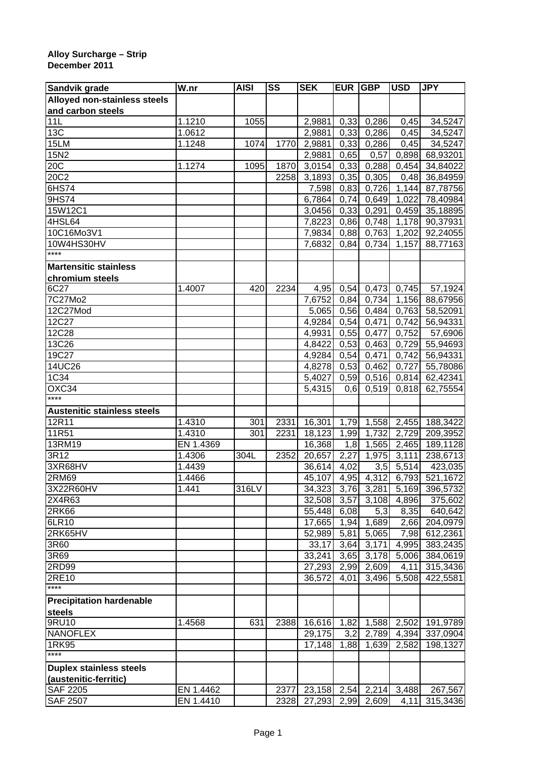## **Alloy Surcharge – Strip December 2011**

| Sandvik grade                      | $\overline{W}$ .nr | <b>AISI</b> | SS   | <b>SEK</b>             | <b>EUR</b> | <b>GBP</b>              | <b>USD</b>         | <b>JPY</b>                |
|------------------------------------|--------------------|-------------|------|------------------------|------------|-------------------------|--------------------|---------------------------|
| Alloyed non-stainless steels       |                    |             |      |                        |            |                         |                    |                           |
| and carbon steels                  |                    |             |      |                        |            |                         |                    |                           |
| 11L                                | 1.1210             | 1055        |      | 2,9881                 | 0,33       | 0,286                   | 0,45               | 34,5247                   |
| 13C                                | 1.0612             |             |      | 2,9881                 | 0,33       | 0,286                   | 0,45               | 34,5247                   |
| 15LM                               | 1.1248             | 1074        | 1770 | 2,9881                 | 0,33       | 0,286                   | 0,45               | 34,5247                   |
| 15N2                               |                    |             |      | 2,9881                 | 0,65       | 0,57                    | 0,898              | 68,93201                  |
| 20C                                | 1.1274             | 1095        | 1870 | 3,0154                 | 0,33       | 0,288                   | 0,454              | 34,84022                  |
| 20C2                               |                    |             | 2258 | 3,1893                 | 0,35       | 0,305                   | 0,48               | 36,84959                  |
| 6HS74                              |                    |             |      | 7,598                  | 0,83       | 0,726                   | 1,144              | 87,78756                  |
| 9HS74                              |                    |             |      | 6,7864                 | 0,74       | 0,649                   | 1,022              | 78,40984                  |
| 15W12C1                            |                    |             |      | 3,0456                 | 0,33       | 0,291                   | 0,459              | 35,18895                  |
| 4HSL64                             |                    |             |      | 7,8223                 | 0,86       | 0,748                   | $\overline{1,178}$ | 90,37931                  |
| 10C16Mo3V1                         |                    |             |      | 7,9834                 | 0,88       | 0,763                   | 1,202              | 92,24055                  |
| 10W4HS30HV                         |                    |             |      | 7,6832                 | 0,84       | 0,734                   | 1,157              | 88,77163                  |
| ****                               |                    |             |      |                        |            |                         |                    |                           |
| <b>Martensitic stainless</b>       |                    |             |      |                        |            |                         |                    |                           |
| chromium steels                    |                    |             |      |                        |            |                         |                    |                           |
| 6C27                               | 1.4007             | 420         | 2234 | 4,95                   | 0,54       |                         | 0,473 0,745        | 57,1924                   |
| 7C27Mo2                            |                    |             |      | 7,6752                 | 0,84       | 0,734                   | 1,156              | 88,67956                  |
| 12C27Mod                           |                    |             |      | 5,065                  | 0,56       | 0,484                   | 0,763              | 58,52091                  |
| 12C27                              |                    |             |      | 4,9284                 | 0,54       | 0,471                   | 0,742              | 56,94331                  |
| 12C28                              |                    |             |      | 4,9931                 | 0,55       | 0,477                   | 0,752              | 57,6906                   |
| 13C26                              |                    |             |      | 4,8422                 | 0,53       |                         | $0,463$ 0,729      | 55,94693                  |
| 19C27                              |                    |             |      | 4,9284                 | 0,54       | 0,471                   | 0,742              | 56,94331                  |
| 14UC26                             |                    |             |      | 4,8278 0,53            |            | 0,462                   | 0,727              | 55,78086                  |
| 1C34                               |                    |             |      | 5,4027                 | 0,59       |                         | $0,516$ 0,814      | 62,42341                  |
| OXC34                              |                    |             |      | 5,4315                 | 0,6        |                         | $0,519$ $0,818$    | 62,75554                  |
| $***$                              |                    |             |      |                        |            |                         |                    |                           |
| <b>Austenitic stainless steels</b> |                    |             |      |                        |            |                         |                    |                           |
| 12R11                              | 1.4310             | 301         | 2331 | 16,301                 | 1,79       |                         | 1,558 2,455        | 188,3422                  |
| 11R51                              | 1.4310             | 301         | 2231 | 18,123                 | 1,99       |                         | 1,732 2,729        | 209,3952                  |
| 13RM19                             | EN 1.4369          |             |      | 16,368                 | 1,8        |                         | 1,565 2,465        | 189,1128                  |
| 3R12                               | 1.4306             | 304L        | 2352 | 20,657                 | 2,27       | 1,975                   | 3,111              | 238,6713                  |
| 3XR68HV                            | 1.4439             |             |      | 36,614                 | 4,02       | $\overline{3}, 5$       | 5,514              | 423,035                   |
| 2RM69                              | 1.4466             |             |      | 45,107                 | 4,95       | 4,312                   | 6,793              | 521,1672                  |
| 3X22R60HV                          | 1.441              | 316LV       |      |                        |            | 34,323 3,76 3,281       |                    | 5,169 396,5732            |
| 2X4R63                             |                    |             |      |                        |            | 32,508 3,57 3,108       | 4,896              | 375,602                   |
| 2RK66                              |                    |             |      | 55,448 6,08            |            | 5,3                     | 8,35               | 640,642                   |
| 6LR10                              |                    |             |      | 17,665                 | 1,94       | 1,689                   | 2,66               | 204,0979                  |
| 2RK65HV                            |                    |             |      | 52,989                 | 5,81       | 5,065                   | 7,98               | 612,2361                  |
| 3R60                               |                    |             |      | 33,17                  |            | $3,64$ 3,171            | 4,995              | 383,2435                  |
| 3R69                               |                    |             |      | 33,241                 |            | 3,65 3,178              | 5,006              | 384,0619                  |
| 2RD99                              |                    |             |      | 27,293                 |            | 2,99 2,609              | 4,11               | 315,3436                  |
| 2RE10                              |                    |             |      | 36,572                 | 4,01       | 3,496                   | 5,508              | 422,5581                  |
| $***$                              |                    |             |      |                        |            |                         |                    |                           |
| <b>Precipitation hardenable</b>    |                    |             |      |                        |            |                         |                    |                           |
| steels                             |                    |             |      |                        |            |                         |                    |                           |
| $9$ RU10                           | 1.4568             | 631         | 2388 | 16,616                 |            |                         |                    | 1,82 1,588 2,502 191,9789 |
| <b>NANOFLEX</b>                    |                    |             |      | 29,175                 |            | $3,2$ 2,789 4,394       |                    | 337,0904                  |
| 1RK95                              |                    |             |      | 17,148                 | 1,88       |                         | 1,639 2,582        | 198,1327                  |
| $***$                              |                    |             |      |                        |            |                         |                    |                           |
|                                    |                    |             |      |                        |            |                         |                    |                           |
| <b>Duplex stainless steels</b>     |                    |             |      |                        |            |                         |                    |                           |
| (austenitic-ferritic)              |                    |             |      |                        |            |                         |                    |                           |
| <b>SAF 2205</b>                    | EN 1.4462          |             | 2377 |                        |            | 23,158 2,54 2,214 3,488 |                    | 267,567                   |
| <b>SAF 2507</b>                    | EN 1.4410          |             |      | 2328 27,293 2,99 2,609 |            |                         | 4,11               | 315,3436                  |